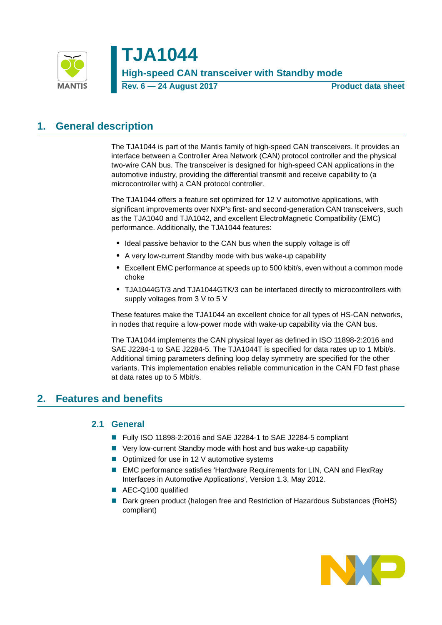

# **TJA1044 High-speed CAN transceiver with Standby mode Rev. 6 — 24 August 2017 Product data sheet**

# <span id="page-0-1"></span>**1. General description**

The TJA1044 is part of the Mantis family of high-speed CAN transceivers. It provides an interface between a Controller Area Network (CAN) protocol controller and the physical two-wire CAN bus. The transceiver is designed for high-speed CAN applications in the automotive industry, providing the differential transmit and receive capability to (a microcontroller with) a CAN protocol controller.

The TJA1044 offers a feature set optimized for 12 V automotive applications, with significant improvements over NXP's first- and second-generation CAN transceivers, such as the TJA1040 and TJA1042, and excellent ElectroMagnetic Compatibility (EMC) performance. Additionally, the TJA1044 features:

- **•** Ideal passive behavior to the CAN bus when the supply voltage is off
- **•** A very low-current Standby mode with bus wake-up capability
- **•** Excellent EMC performance at speeds up to 500 kbit/s, even without a common mode choke
- **•** TJA1044GT/3 and TJA1044GTK/3 can be interfaced directly to microcontrollers with supply voltages from 3 V to 5 V

These features make the TJA1044 an excellent choice for all types of HS-CAN networks, in nodes that require a low-power mode with wake-up capability via the CAN bus.

The TJA1044 implements the CAN physical layer as defined in ISO 11898-2:2016 and SAE J2284-1 to SAE J2284-5. The TJA1044T is specified for data rates up to 1 Mbit/s. Additional timing parameters defining loop delay symmetry are specified for the other variants. This implementation enables reliable communication in the CAN FD fast phase at data rates up to 5 Mbit/s.

## <span id="page-0-2"></span><span id="page-0-0"></span>**2. Features and benefits**

## **2.1 General**

- Fully ISO 11898-2:2016 and SAE J2284-1 to SAE J2284-5 compliant
- Very low-current Standby mode with host and bus wake-up capability
- Optimized for use in 12 V automotive systems
- EMC performance satisfies 'Hardware Requirements for LIN, CAN and FlexRay Interfaces in Automotive Applications', Version 1.3, May 2012.
- AEC-Q100 qualified
- Dark green product (halogen free and Restriction of Hazardous Substances (RoHS) compliant)

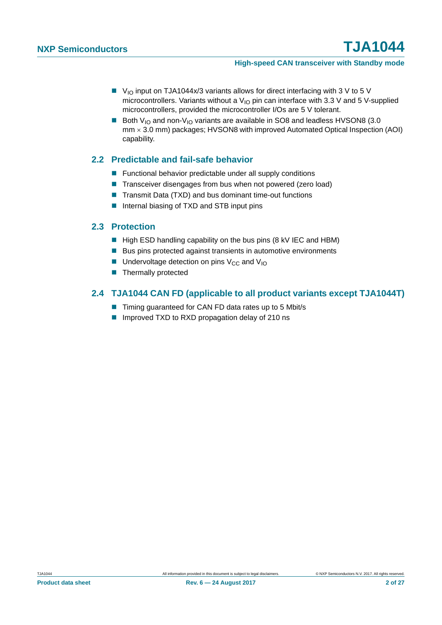- $\blacksquare$  V<sub>IO</sub> input on TJA1044x/3 variants allows for direct interfacing with 3 V to 5 V microcontrollers. Variants without a  $V_{1O}$  pin can interface with 3.3 V and 5 V-supplied microcontrollers, provided the microcontroller I/Os are 5 V tolerant.
- Both V<sub>IO</sub> and non-V<sub>IO</sub> variants are available in SO8 and leadless HVSON8 (3.0) mm 3.0 mm) packages; HVSON8 with improved Automated Optical Inspection (AOI) capability.

## <span id="page-1-0"></span>**2.2 Predictable and fail-safe behavior**

- **Functional behavior predictable under all supply conditions**
- Transceiver disengages from bus when not powered (zero load)
- Transmit Data (TXD) and bus dominant time-out functions
- Internal biasing of TXD and STB input pins

### <span id="page-1-1"></span>**2.3 Protection**

- High ESD handling capability on the bus pins (8 kV IEC and HBM)
- Bus pins protected against transients in automotive environments
- **Undervoltage detection on pins V<sub>CC</sub> and V<sub>IO</sub>**
- $\blacksquare$  Thermally protected

## <span id="page-1-2"></span>**2.4 TJA1044 CAN FD (applicable to all product variants except TJA1044T)**

- Timing guaranteed for CAN FD data rates up to 5 Mbit/s
- Improved TXD to RXD propagation delay of 210 ns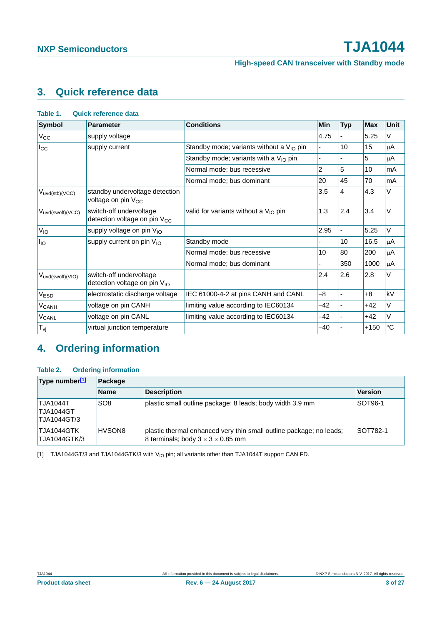# <span id="page-2-2"></span>**3. Quick reference data**

| <b>Symbol</b>           | <b>Parameter</b>                                                    | <b>Conditions</b>                                | Min   | <b>Typ</b>     | <b>Max</b> | <b>Unit</b> |
|-------------------------|---------------------------------------------------------------------|--------------------------------------------------|-------|----------------|------------|-------------|
| $V_{\rm CC}$            | supply voltage                                                      |                                                  | 4.75  |                | 5.25       | V           |
| $I_{\rm CC}$            | supply current                                                      | Standby mode; variants without a $V_{10}$ pin    |       | 10             | 15         | μA          |
|                         |                                                                     | Standby mode; variants with a $V_{1O}$ pin       |       |                | 5          | $\mu$ A     |
|                         |                                                                     | Normal mode; bus recessive                       | 2     | 5              | 10         | mA          |
|                         |                                                                     | Normal mode; bus dominant                        | 20    | 45             | 70         | mA          |
| $V_{uvd(stb)(VCC)}$     | standby undervoltage detection<br>voltage on pin V <sub>CC</sub>    |                                                  | 3.5   | $\overline{4}$ | 4.3        | V           |
| Vuvd(swoff)(VCC)        | switch-off undervoltage<br>detection voltage on pin V <sub>CC</sub> | valid for variants without a $V_{\text{IO}}$ pin | 1.3   | 2.4            | 3.4        | V           |
| $V_{IO}$                | supply voltage on pin $V_{10}$                                      |                                                  | 2.95  |                | 5.25       | V           |
| $I_{IO}$                | supply current on pin V <sub>IO</sub>                               | Standby mode                                     |       | 10             | 16.5       | $\mu$ A     |
|                         |                                                                     | Normal mode; bus recessive                       | 10    | 80             | 200        | $\mu$ A     |
|                         |                                                                     | Normal mode; bus dominant                        |       | 350            | 1000       | $\mu$ A     |
| $V_{uvd(swoff)(VIO)}$   | switch-off undervoltage<br>detection voltage on pin V <sub>IO</sub> |                                                  | 2.4   | 2.6            | 2.8        | V           |
| V <sub>ESD</sub>        | electrostatic discharge voltage                                     | IEC 61000-4-2 at pins CANH and CANL              | $-8$  | ٠              | $+8$       | kV          |
| <b>V<sub>CANH</sub></b> | voltage on pin CANH                                                 | limiting value according to IEC60134             | -42   |                | $+42$      | $\vee$      |
| <b>V<sub>CANL</sub></b> | voltage on pin CANL                                                 | limiting value according to IEC60134             | -42   |                | $+42$      | V           |
| $T_{\nu j}$             | virtual junction temperature                                        |                                                  | $-40$ |                | $+150$     | $^{\circ}C$ |

# <span id="page-2-3"></span>**4. Ordering information**

#### <span id="page-2-1"></span>**Table 2. Ordering information**

| Type number[1]<br>Package                          |                 |                                                                                                                      |                |
|----------------------------------------------------|-----------------|----------------------------------------------------------------------------------------------------------------------|----------------|
|                                                    | <b>Name</b>     | <b>Description</b>                                                                                                   | <b>Version</b> |
| <b>TJA1044T</b><br><b>TJA1044GT</b><br>TJA1044GT/3 | SO <sub>8</sub> | plastic small outline package; 8 leads; body width 3.9 mm                                                            | SOT96-1        |
| TJA1044GTK<br>TJA1044GTK/3                         | HVSON8          | plastic thermal enhanced very thin small outline package; no leads;<br>8 terminals; body $3 \times 3 \times 0.85$ mm | SOT782-1       |

<span id="page-2-0"></span>[1] TJA1044GT/3 and TJA1044GTK/3 with V<sub>IO</sub> pin; all variants other than TJA1044T support CAN FD.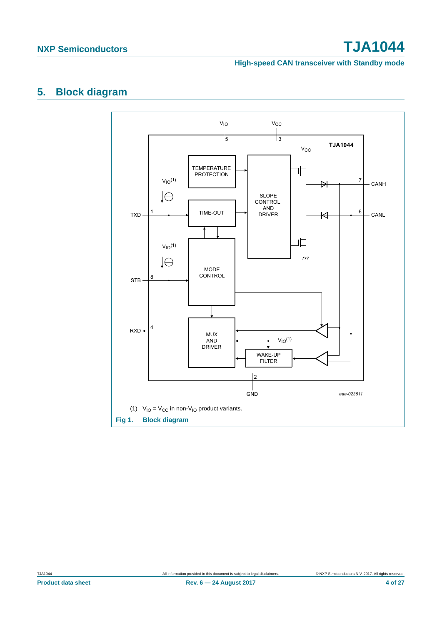#### **High-speed CAN transceiver with Standby mode**

# <span id="page-3-1"></span>**5. Block diagram**



<span id="page-3-0"></span>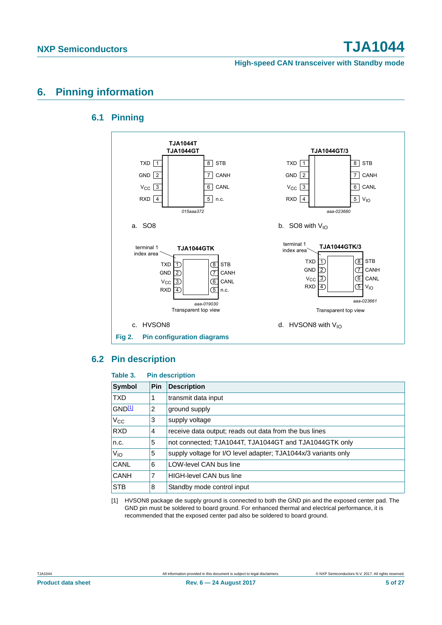**High-speed CAN transceiver with Standby mode**

# <span id="page-4-2"></span><span id="page-4-1"></span>**6. Pinning information**

## **6.1 Pinning**



### <span id="page-4-3"></span>**6.2 Pin description**

#### **Table 3. Pin description**

| <b>Symbol</b> | <b>Pin</b> | <b>Description</b>                                             |
|---------------|------------|----------------------------------------------------------------|
| <b>TXD</b>    |            | transmit data input                                            |
| GND11         | 2          | ground supply                                                  |
| $V_{\rm CC}$  | 3          | supply voltage                                                 |
| <b>RXD</b>    | 4          | receive data output; reads out data from the bus lines         |
| n.c.          | 5          | not connected; TJA1044T, TJA1044GT and TJA1044GTK only         |
| $V_{IO}$      | 5          | supply voltage for I/O level adapter; TJA1044x/3 variants only |
| CANL          | 6          | LOW-level CAN bus line                                         |
| <b>CANH</b>   | 7          | <b>HIGH-level CAN bus line</b>                                 |
| <b>STB</b>    | 8          | Standby mode control input                                     |

<span id="page-4-0"></span>[1] HVSON8 package die supply ground is connected to both the GND pin and the exposed center pad. The GND pin must be soldered to board ground. For enhanced thermal and electrical performance, it is recommended that the exposed center pad also be soldered to board ground.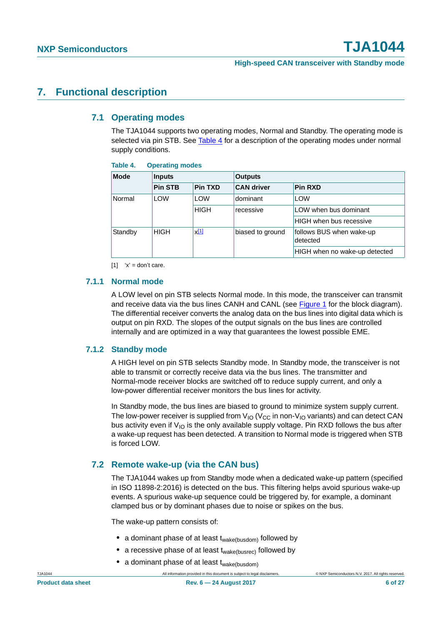## <span id="page-5-3"></span><span id="page-5-2"></span>**7. Functional description**

### **7.1 Operating modes**

The TJA1044 supports two operating modes, Normal and Standby. The operating mode is selected via pin STB. See [Table 4](#page-5-0) for a description of the operating modes under normal supply conditions.

<span id="page-5-0"></span>

| Table 4. | <b>Operating modes</b> |
|----------|------------------------|
|----------|------------------------|

| <b>Mode</b> | <b>Inputs</b>     |                    | <b>Outputs</b>    |                                      |  |
|-------------|-------------------|--------------------|-------------------|--------------------------------------|--|
|             | <b>Pin STB</b>    | <b>Pin TXD</b>     | <b>CAN driver</b> | <b>Pin RXD</b>                       |  |
| Normal      | <b>LOW</b><br>LOW |                    | dominant          | <b>LOW</b>                           |  |
|             |                   | <b>HIGH</b>        | recessive         | LOW when bus dominant                |  |
|             |                   |                    |                   | <b>HIGH</b> when bus recessive       |  |
| Standby     | <b>HIGH</b>       | $x$ <sup>[1]</sup> | biased to ground  | follows BUS when wake-up<br>detected |  |
|             |                   |                    |                   | HIGH when no wake-up detected        |  |

<span id="page-5-1"></span> $[1]$  'x' = don't care.

### <span id="page-5-4"></span>**7.1.1 Normal mode**

A LOW level on pin STB selects Normal mode. In this mode, the transceiver can transmit and receive data via the bus lines CANH and CANL (see [Figure 1](#page-3-0) for the block diagram). The differential receiver converts the analog data on the bus lines into digital data which is output on pin RXD. The slopes of the output signals on the bus lines are controlled internally and are optimized in a way that guarantees the lowest possible EME.

### <span id="page-5-5"></span>**7.1.2 Standby mode**

A HIGH level on pin STB selects Standby mode. In Standby mode, the transceiver is not able to transmit or correctly receive data via the bus lines. The transmitter and Normal-mode receiver blocks are switched off to reduce supply current, and only a low-power differential receiver monitors the bus lines for activity.

In Standby mode, the bus lines are biased to ground to minimize system supply current. The low-power receiver is supplied from  $V_{\text{IO}}$  ( $V_{\text{CC}}$  in non- $V_{\text{IO}}$  variants) and can detect CAN bus activity even if  $V_{10}$  is the only available supply voltage. Pin RXD follows the bus after a wake-up request has been detected. A transition to Normal mode is triggered when STB is forced LOW.

## <span id="page-5-6"></span>**7.2 Remote wake-up (via the CAN bus)**

The TJA1044 wakes up from Standby mode when a dedicated wake-up pattern (specified in ISO 11898-2:2016) is detected on the bus. This filtering helps avoid spurious wake-up events. A spurious wake-up sequence could be triggered by, for example, a dominant clamped bus or by dominant phases due to noise or spikes on the bus.

The wake-up pattern consists of:

- a dominant phase of at least t<sub>wake(busdom)</sub> followed by
- **•** a recessive phase of at least twake(busrec) followed by
- a dominant phase of at least t<sub>wake(busdom)</sub>

TJA1044 All information provided in this document is subject to legal disclaimers. © NXP Semiconductors N.V. 2017. All rights reserved.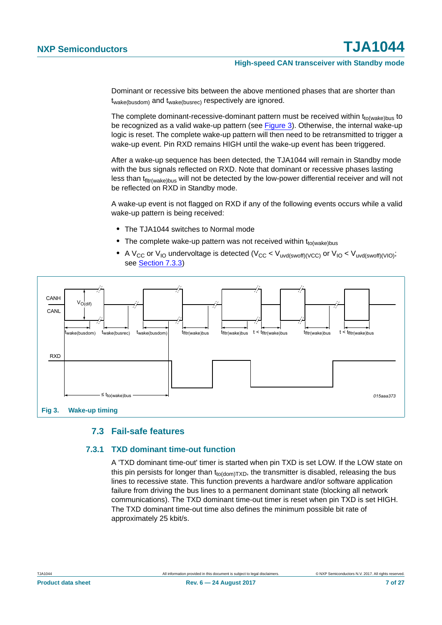Dominant or recessive bits between the above mentioned phases that are shorter than twake(busdom) and twake(busrec) respectively are ignored.

The complete dominant-recessive-dominant pattern must be received within  $t_{to(wake)bus}$  to be recognized as a valid wake-up pattern (see [Figure 3](#page-6-0)). Otherwise, the internal wake-up logic is reset. The complete wake-up pattern will then need to be retransmitted to trigger a wake-up event. Pin RXD remains HIGH until the wake-up event has been triggered.

After a wake-up sequence has been detected, the TJA1044 will remain in Standby mode with the bus signals reflected on RXD. Note that dominant or recessive phases lasting less than t<sub>fltr(wake)bus</sub> will not be detected by the low-power differential receiver and will not be reflected on RXD in Standby mode.

A wake-up event is not flagged on RXD if any of the following events occurs while a valid wake-up pattern is being received:

- **•** The TJA1044 switches to Normal mode
- The complete wake-up pattern was not received within t<sub>to(wake)bus</sub>
- A V<sub>CC</sub> or V<sub>IO</sub> undervoltage is detected (V<sub>CC</sub> < V<sub>uvd(swoff)(VCC)</sub> or V<sub>IO</sub> < V<sub>uvd(swoff)(VIO)</sub>; see [Section 7.3.3](#page-7-0))



#### <span id="page-6-0"></span>**7.3 Fail-safe features**

#### <span id="page-6-2"></span><span id="page-6-1"></span>**7.3.1 TXD dominant time-out function**

A 'TXD dominant time-out' timer is started when pin TXD is set LOW. If the LOW state on this pin persists for longer than  $t_{\text{to}\text{(dom)}\text{TXD}}$ , the transmitter is disabled, releasing the bus lines to recessive state. This function prevents a hardware and/or software application failure from driving the bus lines to a permanent dominant state (blocking all network communications). The TXD dominant time-out timer is reset when pin TXD is set HIGH. The TXD dominant time-out time also defines the minimum possible bit rate of approximately 25 kbit/s.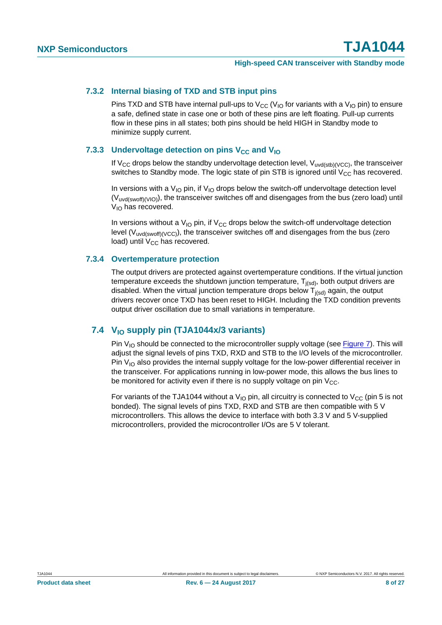#### <span id="page-7-1"></span>**7.3.2 Internal biasing of TXD and STB input pins**

Pins TXD and STB have internal pull-ups to  $V_{CC}$  ( $V_{IO}$  for variants with a  $V_{IO}$  pin) to ensure a safe, defined state in case one or both of these pins are left floating. Pull-up currents flow in these pins in all states; both pins should be held HIGH in Standby mode to minimize supply current.

#### <span id="page-7-0"></span>**7.3.3 Undervoltage detection on pins V<sub>CC</sub> and V<sub>IO</sub>**

If  $V_{CC}$  drops below the standby undervoltage detection level,  $V_{uvd(stb)/(VC)}$ , the transceiver switches to Standby mode. The logic state of pin STB is ignored until  $V_{CC}$  has recovered.

In versions with a  $V_{10}$  pin, if  $V_{10}$  drops below the switch-off undervoltage detection level (V<sub>uvd(swoff)(VIO)</sub>), the transceiver switches off and disengages from the bus (zero load) until  $V_{10}$  has recovered.

In versions without a  $V_{IO}$  pin, if  $V_{CC}$  drops below the switch-off undervoltage detection level ( $V<sub>uvd(swoff)(VCC)</sub>$ ), the transceiver switches off and disengages from the bus (zero load) until  $V_{CC}$  has recovered.

#### <span id="page-7-2"></span>**7.3.4 Overtemperature protection**

The output drivers are protected against overtemperature conditions. If the virtual junction temperature exceeds the shutdown junction temperature,  $T_{i(sd)}$ , both output drivers are disabled. When the virtual junction temperature drops below  $T_{i(s,d)}$  again, the output drivers recover once TXD has been reset to HIGH. Including the TXD condition prevents output driver oscillation due to small variations in temperature.

### <span id="page-7-3"></span>**7.4 VIO supply pin (TJA1044x/3 variants)**

Pin  $V_{10}$  should be connected to the microcontroller supply voltage (see [Figure 7\)](#page-14-0). This will adjust the signal levels of pins TXD, RXD and STB to the I/O levels of the microcontroller. Pin  $V_{10}$  also provides the internal supply voltage for the low-power differential receiver in the transceiver. For applications running in low-power mode, this allows the bus lines to be monitored for activity even if there is no supply voltage on pin  $V_{CC}$ .

For variants of the TJA1044 without a V<sub>IO</sub> pin, all circuitry is connected to V<sub>CC</sub> (pin 5 is not bonded). The signal levels of pins TXD, RXD and STB are then compatible with 5 V microcontrollers. This allows the device to interface with both 3.3 V and 5 V-supplied microcontrollers, provided the microcontroller I/Os are 5 V tolerant.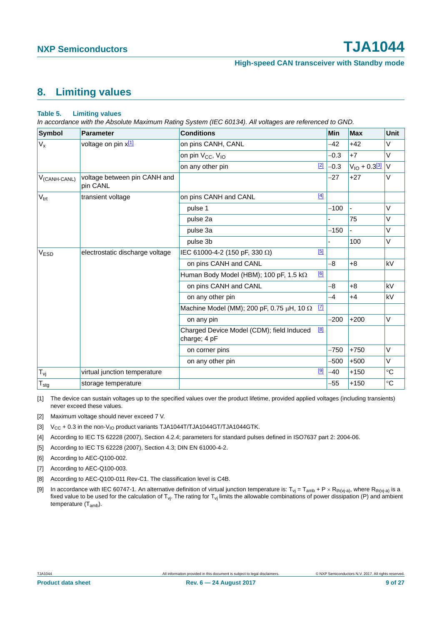## <span id="page-8-10"></span>**8. Limiting values**

#### <span id="page-8-9"></span>**Table 5. Limiting values**

*In accordance with the Absolute Maximum Rating System (IEC 60134). All voltages are referenced to GND.*

| <b>Symbol</b>     | <b>Parameter</b>                         | <b>Conditions</b>                                                    | Min                   | <b>Max</b>         | Unit            |
|-------------------|------------------------------------------|----------------------------------------------------------------------|-----------------------|--------------------|-----------------|
| $V_{x}$           | voltage on pin x[1]                      | on pins CANH, CANL                                                   | $-42$                 | $+42$              | $\vee$          |
|                   |                                          | on pin $V_{CC}$ , $V_{IO}$                                           | $-0.3$                | $+7$               | $\vee$          |
|                   |                                          | on any other pin                                                     | $\boxed{2}$<br>$-0.3$ | $V_{10} + 0.3$ 3 V |                 |
| $V_{(CANH-CANL)}$ | voltage between pin CANH and<br>pin CANL |                                                                      | $-27$                 | $+27$              | $\vee$          |
| $V_{\text{trt}}$  | transient voltage                        | on pins CANH and CANL                                                | $[4]$                 |                    |                 |
|                   |                                          | pulse 1                                                              | $-100$                |                    | $\vee$          |
|                   |                                          | pulse 2a                                                             |                       | 75                 | V               |
|                   |                                          | pulse 3a                                                             | $-150$                |                    | $\vee$          |
|                   |                                          | pulse 3b                                                             |                       | 100                | $\vee$          |
| V <sub>ESD</sub>  | electrostatic discharge voltage          | IEC 61000-4-2 (150 pF, 330 Ω)                                        | [5]                   |                    |                 |
|                   |                                          | on pins CANH and CANL                                                | -8                    | $+8$               | kV              |
|                   |                                          | Human Body Model (HBM); 100 pF, 1.5 k $\Omega$                       | [6]                   |                    |                 |
|                   |                                          | on pins CANH and CANL                                                | -8                    | $+8$               | kV              |
|                   |                                          | on any other pin                                                     | $-4$                  | $+4$               | kV              |
|                   |                                          | Machine Model (MM); 200 pF, 0.75 $\mu$ H, 10 $\Omega$ <sup>[7]</sup> |                       |                    |                 |
|                   |                                          | on any pin                                                           | $-200$                | $+200$             | $\vee$          |
|                   |                                          | Charged Device Model (CDM); field Induced<br>charge; 4 pF            | [8]                   |                    |                 |
|                   |                                          | on corner pins                                                       | $-750$                | $+750$             | $\vee$          |
|                   |                                          | on any other pin                                                     | -500                  | $+500$             | $\vee$          |
| $T_{\nu j}$       | virtual junction temperature             |                                                                      | $[9]$<br>$-40$        | $+150$             | $\rm ^{\circ}C$ |
| $T_{\text{stg}}$  | storage temperature                      |                                                                      | $-55$                 | $+150$             | $\circ$ C       |

<span id="page-8-8"></span>[1] The device can sustain voltages up to the specified values over the product lifetime, provided applied voltages (including transients) never exceed these values.

- <span id="page-8-7"></span>[2] Maximum voltage should never exceed 7 V.
- <span id="page-8-6"></span>[3]  $V_{CC}$  + 0.3 in the non- $V_{IO}$  product variants TJA1044T/TJA1044GT/TJA1044GTK.
- <span id="page-8-0"></span>[4] According to IEC TS 62228 (2007), Section 4.2.4; parameters for standard pulses defined in ISO7637 part 2: 2004-06.
- <span id="page-8-1"></span>[5] According to IEC TS 62228 (2007), Section 4.3; DIN EN 61000-4-2.
- <span id="page-8-2"></span>[6] According to AEC-Q100-002.
- <span id="page-8-3"></span>[7] According to AEC-Q100-003.
- <span id="page-8-4"></span>[8] According to AEC-Q100-011 Rev-C1. The classification level is C4B.
- <span id="page-8-5"></span>[9] In accordance with IEC 60747-1. An alternative definition of virtual junction temperature is:  $T_{vj} = T_{amb} + P \times R_{th(v_j-a)}$ , where  $R_{th(v_j-a)}$  is a fixed value to be used for the calculation of  $T_{vj}$ . The rating for  $T_{vj}$  limits the allowable combinations of power dissipation (P) and ambient temperature (T<sub>amb</sub>).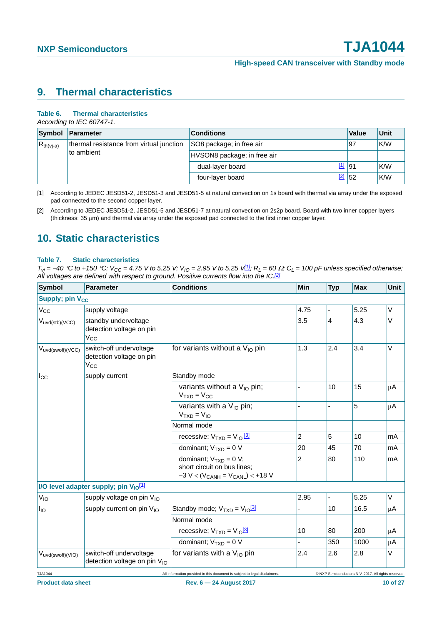## <span id="page-9-3"></span>**9. Thermal characteristics**

#### **Table 6. Thermal characteristics**

*According to IEC 60747-1.*

|                                                                          | Symbol Parameter | <b>Conditions</b>           | Value   | Unit |
|--------------------------------------------------------------------------|------------------|-----------------------------|---------|------|
| thermal resistance from virtual junction<br>$R_{th(vj-a)}$<br>to ambient |                  | SO8 package; in free air    | 97      | K/W  |
|                                                                          |                  | HVSON8 package; in free air |         |      |
|                                                                          |                  | dual-layer board            | $11$ 91 | K/W  |
|                                                                          |                  | four-layer board            | $2$ 52  | K/W  |

<span id="page-9-0"></span>[1] According to JEDEC JESD51-2, JESD51-3 and JESD51-5 at natural convection on 1s board with thermal via array under the exposed pad connected to the second copper layer.

## <span id="page-9-4"></span>**10. Static characteristics**

#### <span id="page-9-2"></span>**Table 7. Static characteristics**

 $T_{vi} = -40$  °C to +150 °C;  $V_{CC} = 4.75$  V to 5.25 V;  $V_{IO} = 2.95$  V to 5.25  $V_{III}$ ;  $R_L = 60 \Omega$ ;  $C_L = 100$  pF unless specified otherwise; *All voltages are defined with respect to ground. Positive currents flow into the IC[.\[2\]](#page-11-1)*

| <b>Symbol</b>                     | <b>Parameter</b>                                                    | <b>Conditions</b>                                                                                    | <b>Min</b>     | <b>Typ</b> | <b>Max</b>                                           | Unit |
|-----------------------------------|---------------------------------------------------------------------|------------------------------------------------------------------------------------------------------|----------------|------------|------------------------------------------------------|------|
| <b>Supply; pin V<sub>CC</sub></b> |                                                                     |                                                                                                      |                |            |                                                      |      |
| $V_{CC}$                          | supply voltage                                                      |                                                                                                      | 4.75           |            | 5.25                                                 | V    |
| $V_{uvd(stb)(VCC)}$               | standby undervoltage<br>detection voltage on pin<br>$V_{\rm CC}$    |                                                                                                      | 3.5            | 4          | 4.3                                                  | V    |
| Vuvd(swoff)(VCC)                  | switch-off undervoltage<br>detection voltage on pin<br>$V_{CC}$     | for variants without a $V_{10}$ pin                                                                  | 1.3            | 2.4        | 3.4                                                  | V    |
| $I_{\rm CC}$                      | supply current                                                      | Standby mode                                                                                         |                |            |                                                      |      |
|                                   |                                                                     | variants without a $V_{10}$ pin;<br>$VTXD = VCC$                                                     |                | 10         | 15                                                   | μA   |
|                                   |                                                                     | variants with a $V_{10}$ pin;<br>$VTXD = VIO$                                                        |                |            | 5                                                    | μA   |
|                                   |                                                                     | Normal mode                                                                                          |                |            |                                                      |      |
|                                   |                                                                     | recessive; $V_{TXD} = V_{IO} \frac{3}{3}$                                                            | $\overline{2}$ | 5          | 10                                                   | mA   |
|                                   |                                                                     | dominant; $V_{TXD} = 0 V$                                                                            | 20             | 45         | 70                                                   | mA   |
|                                   |                                                                     | dominant; $V_{TXD} = 0 V$ ;<br>short circuit on bus lines:<br>$-3 V < (V_{CANH} = V_{CANL}) < +18 V$ | $\overline{2}$ | 80         | 110                                                  | mA   |
|                                   | I/O level adapter supply; pin V <sub>IO</sub> [1]                   |                                                                                                      |                |            |                                                      |      |
| $V_{IO}$                          | supply voltage on pin V <sub>IO</sub>                               |                                                                                                      | 2.95           | L,         | 5.25                                                 | V    |
| $I_{IO}$                          | supply current on pin V <sub>IO</sub>                               | Standby mode; $V_{TXD} = V_{10}^{3}$                                                                 |                | 10         | 16.5                                                 | μA   |
|                                   |                                                                     | Normal mode                                                                                          |                |            |                                                      |      |
|                                   |                                                                     | recessive; $V_{TXD} = V_{10} \frac{3!}{2!}$                                                          | 10             | 80         | 200                                                  | μA   |
|                                   |                                                                     | dominant; $V_{TXD} = 0 V$                                                                            |                | 350        | 1000                                                 | μA   |
| $V_{uvd(swoff)(VIO)}$             | switch-off undervoltage<br>detection voltage on pin V <sub>IO</sub> | for variants with a $V_{10}$ pin                                                                     | 2.4            | 2.6        | 2.8                                                  | V    |
| TJA1044                           |                                                                     | All information provided in this document is subject to legal disclaimers.                           |                |            | © NXP Semiconductors N.V. 2017. All rights reserved. |      |

<span id="page-9-1"></span><sup>[2]</sup> According to JEDEC JESD51-2, JESD51-5 and JESD51-7 at natural convection on 2s2p board. Board with two inner copper layers (thickness:  $35 \mu m$ ) and thermal via array under the exposed pad connected to the first inner copper layer.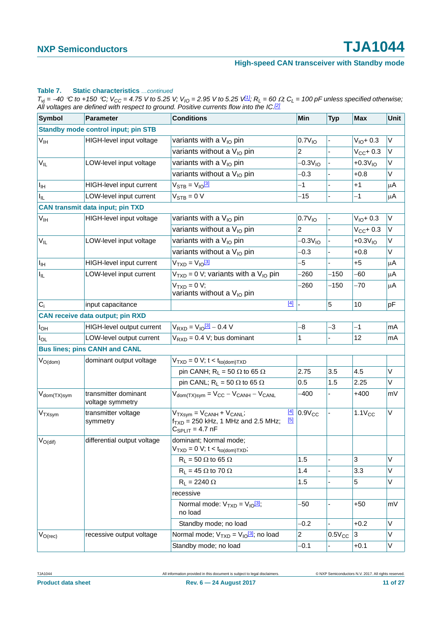#### **Table 7. Static characteristics** *…continued*

 $T_{Vj}$  = -40 °C to +150 °C;  $V_{CC}$  = 4.75 V to 5.25 V;  $V_{IO}$  = 2.95 V to 5.25 V $1/2$ ;  $R_L$  = 60  $\Omega$ ;  $C_L$  = 100 pF unless specified otherwise; *All voltages are defined with respect to ground. Positive currents flow into the IC.[2]*

| <b>Symbol</b>           | Parameter                                  | <b>Conditions</b>                                                                                                            | Min                | <b>Typ</b>  | <b>Max</b>     | Unit         |
|-------------------------|--------------------------------------------|------------------------------------------------------------------------------------------------------------------------------|--------------------|-------------|----------------|--------------|
|                         | <b>Standby mode control input; pin STB</b> |                                                                                                                              |                    |             |                |              |
| $V_{\text{IH}}$         | HIGH-level input voltage                   | variants with a V <sub>IO</sub> pin                                                                                          | 0.7V <sub>10</sub> |             | $V_{10} + 0.3$ | $\mathsf{V}$ |
|                         |                                            | variants without a $V_{10}$ pin                                                                                              | 2                  |             | $V_{CC}$ + 0.3 | V            |
| $V_{IL}$                | LOW-level input voltage                    | variants with a $V_{10}$ pin                                                                                                 | $-0.3V10$          |             | $+0.3V_{10}$   | V            |
|                         |                                            | variants without a V <sub>IO</sub> pin                                                                                       | -0.3               |             | $+0.8$         | V            |
| $I_{\text{IH}}$         | HIGH-level input current                   | $V_{\text{STB}} = V_{10} \frac{3!}{2!}$                                                                                      | $-1$               |             | $+1$           | $\mu$ A      |
| I <sub>IL</sub>         | LOW-level input current                    | $V_{STB} = 0 V$                                                                                                              | $-15$              |             | -1             | μA           |
|                         | <b>CAN transmit data input; pin TXD</b>    |                                                                                                                              |                    |             |                |              |
| V <sub>IH</sub>         | HIGH-level input voltage                   | variants with a V <sub>IO</sub> pin                                                                                          | 0.7V <sub>10</sub> |             | $V_{10} + 0.3$ | V            |
|                         |                                            | variants without a $V_{10}$ pin                                                                                              | 2                  |             | $V_{CC}$ + 0.3 | V            |
| $V_{IL}$                | LOW-level input voltage                    | variants with a V <sub>IO</sub> pin                                                                                          | $-0.3V10$          |             | $+0.3V10$      | V            |
|                         |                                            | variants without a $V_{10}$ pin                                                                                              | $-0.3$             |             | $+0.8$         | V            |
| $I_{\text{IH}}$         | HIGH-level input current                   | $VTXD = VIO$ <sup>[3]</sup>                                                                                                  | -5                 |             | +5             | μA           |
| I <sub>IL</sub>         | LOW-level input current                    | $V_{TXD} = 0$ V; variants with a V <sub>IO</sub> pin                                                                         | -260               | $-150$      | -60            | μA           |
|                         |                                            | $VTXD = 0 V;$<br>variants without a V <sub>IO</sub> pin                                                                      | -260               | $-150$      | $-70$          | μA           |
| $C_i$                   | input capacitance                          | $[4]$                                                                                                                        |                    | 5           | 10             | pF           |
|                         | <b>CAN receive data output; pin RXD</b>    |                                                                                                                              |                    |             |                |              |
| $I_{OH}$                | HIGH-level output current                  | $V_{RXD} = V_{10} \frac{3!}{3!} - 0.4 V$                                                                                     | -8                 | -3          | $-1$           | mA           |
| $I_{OL}$                | LOW-level output current                   | $V_{RXD} = 0.4 V$ ; bus dominant                                                                                             | $\mathbf{1}$       |             | 12             | mA           |
|                         | <b>Bus lines; pins CANH and CANL</b>       |                                                                                                                              |                    |             |                |              |
| $V_{O(dom)}$            | dominant output voltage                    | $V_{TXD} = 0$ V; t < t <sub>to(dom)</sub> T <sub>XD</sub>                                                                    |                    |             |                |              |
|                         |                                            | pin CANH; $R_L = 50 \Omega$ to 65 $\Omega$                                                                                   | 2.75               | 3.5         | 4.5            | V            |
|                         |                                            | pin CANL; $R_L = 50 \Omega$ to 65 $\Omega$                                                                                   | 0.5                | 1.5         | 2.25           | V            |
| $V_{\text{dom}(TX)sym}$ | transmitter dominant<br>voltage symmetry   | $V_{\text{dom(TX)sym}} = V_{\text{CC}} - V_{\text{CANH}} - V_{\text{CANL}}$                                                  | $-400$             |             | $+400$         | mV           |
| V <sub>TXsym</sub>      | transmitter voltage<br>symmetry            | $[4]$<br>$V_{TXsvm} = V_{CANH} + V_{CANL}$<br>$\boxed{5}$<br>$f_{TXD}$ = 250 kHz, 1 MHz and 2.5 MHz;<br>$C_{SPLIT}$ = 4.7 nF | $0.9V_{CC}$        |             | $1.1V_{CC}$    | V            |
| $V_{O(\text{dif})}$     | differential output voltage                | dominant; Normal mode;<br>$VTXD = 0 V; t < tto(dom)TXD;$                                                                     |                    |             |                |              |
|                         |                                            | $R_L$ = 50 $\Omega$ to 65 $\Omega$                                                                                           | 1.5                |             | 3              | V            |
|                         |                                            | $R_L$ = 45 $\Omega$ to 70 $\Omega$                                                                                           | 1.4                |             | 3.3            | V            |
|                         |                                            | $R_L$ = 2240 $\Omega$                                                                                                        | 1.5                |             | 5              | V            |
|                         |                                            | recessive                                                                                                                    |                    |             |                |              |
|                         |                                            | Normal mode: $V_{TXD} = V_{10}^{3}$ ;<br>no load                                                                             | $-50$              |             | $+50$          | mV           |
|                         |                                            | Standby mode; no load                                                                                                        | $-0.2$             |             | $+0.2$         | V            |
| $V_{O(rec)}$            | recessive output voltage                   | Normal mode; $V_{TXD} = V_{10}^{3}$ ; no load                                                                                | $\overline{c}$     | $0.5V_{CC}$ | 3              | V            |
|                         |                                            | Standby mode; no load                                                                                                        | $-0.1$             |             | $+0.1$         | V            |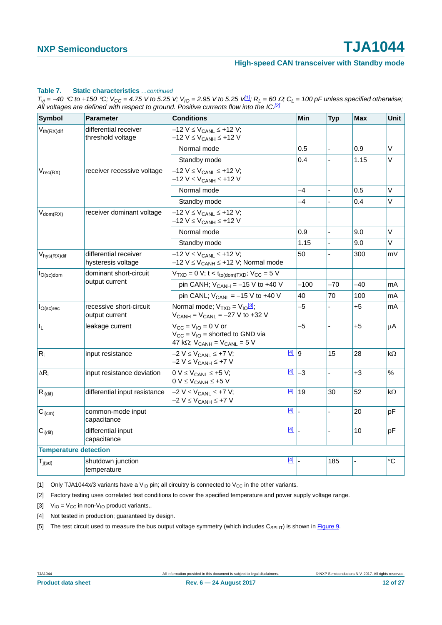#### **High-speed CAN transceiver with Standby mode**

#### **Table 7. Static characteristics** *…continued*

 $T_{Vj}$  = -40 °C to +150 °C;  $V_{CC}$  = 4.75 V to 5.25 V;  $V_{IO}$  = 2.95 V to 5.25 V<sup>[1]</sup>;  $R_L$  = 60  $\Omega$ ;  $C_L$  = 100 pF unless specified otherwise; *All voltages are defined with respect to ground. Positive currents flow into the IC.[2]*

| <b>Symbol</b>                | <b>Parameter</b>                            | <b>Conditions</b>                                                                                                                   | Min           | <b>Typ</b>     | <b>Max</b> | Unit      |
|------------------------------|---------------------------------------------|-------------------------------------------------------------------------------------------------------------------------------------|---------------|----------------|------------|-----------|
| $V_{th(RX)dif}$              | differential receiver<br>threshold voltage  | $-12$ V $\leq$ V <sub>CANL</sub> $\leq$ +12 V;<br>$-12$ V $\leq$ V <sub>CANH</sub> $\leq$ +12 V                                     |               |                |            |           |
|                              |                                             | Normal mode                                                                                                                         | 0.5           |                | 0.9        | V         |
|                              |                                             | Standby mode                                                                                                                        | 0.4           |                | 1.15       | $\vee$    |
| $V_{rec(RX)}$                | receiver recessive voltage                  | $-12$ V ≤ V <sub>CANL</sub> ≤ +12 V;<br>–12 V ≤ V <sub>CANH</sub> ≤ +12 V                                                           |               |                |            |           |
|                              |                                             | Normal mode                                                                                                                         | -4            |                | 0.5        | V         |
|                              |                                             | Standby mode                                                                                                                        | -4            |                | 0.4        | V         |
| $V_{dom(RX)}$                | receiver dominant voltage                   | $-12$ V $\leq$ V <sub>CANL</sub> $\leq$ +12 V;<br>$-12$ V $\leq$ V <sub>CANH</sub> $\leq$ +12 V                                     |               |                |            |           |
|                              |                                             | Normal mode                                                                                                                         | 0.9           | $\overline{a}$ | 9.0        | $\vee$    |
|                              |                                             | Standby mode                                                                                                                        | 1.15          |                | 9.0        | V         |
| V <sub>hys</sub> (RX)dif     | differential receiver<br>hysteresis voltage | $-12$ V $\leq$ V <sub>CANL</sub> $\leq$ +12 V;<br>$-12$ V $\leq$ V <sub>CANH</sub> $\leq$ +12 V; Normal mode                        | 50            |                | 300        | mV        |
| $I_{O(\text{sc})$ dom        | dominant short-circuit<br>output current    | $V_{TXD} = 0$ V; t < t <sub>to(dom)TXD</sub> ; V <sub>CC</sub> = 5 V                                                                |               |                |            |           |
|                              |                                             | pin CANH; $V_{CANH} = -15$ V to +40 V                                                                                               | $-100$        | $-70$          | -40        | mA        |
|                              |                                             | pin CANL; $V_{CANL} = -15 V$ to +40 V                                                                                               | 40            | 70             | 100        | mA        |
| $I_{O(sc)rec}$               | recessive short-circuit<br>output current   | Normal mode; $V_{TXD} = V_{10}^{3}$ ;<br>$V_{CANH} = V_{CANL} = -27 V$ to +32 V                                                     | $-5$          |                | +5         | mA        |
| I <sub>L</sub>               | leakage current                             | $V_{CC} = V_{IO} = 0$ V or<br>$V_{CC} = V_{IO}$ = shorted to GND via<br>47 k $\Omega$ ; V <sub>CANH</sub> = V <sub>CANL</sub> = 5 V | $-5$          |                | +5         | μA        |
| $R_i$                        | input resistance                            | $-2$ V $\leq$ V <sub>CANL</sub> $\leq$ +7 V;<br>–2 V ≤ V <sub>CANH</sub> ≤ +7 V                                                     | $\boxed{4}$ 9 | 15             | 28         | kΩ        |
| $\Delta R_i$                 | input resistance deviation                  | $[4]$<br>$0 V \leq V_{CANL} \leq +5 V;$<br>$0 V \leq V_{CANH} \leq +5 V$                                                            | $-3$          |                | $+3$       | %         |
| $R_{i(dif)}$                 | differential input resistance               | $[4]$<br>$-2$ V $\leq$ V <sub>CANL</sub> $\leq$ +7 V;<br>$-2$ V $\leq$ V <sub>CANH</sub> $\leq$ +7 V                                | $ 19\rangle$  | 30             | 52         | $k\Omega$ |
| $C_{i(cm)}$                  | common-mode input<br>capacitance            | $[4]$                                                                                                                               |               |                | 20         | рF        |
| $C_{i(\text{dif})}$          | differential input<br>capacitance           | $[4]$                                                                                                                               |               |                | 10         | pF        |
| <b>Temperature detection</b> |                                             |                                                                                                                                     |               |                |            |           |
| $T_{j(sd)}$                  | shutdown junction<br>temperature            | $[4]$                                                                                                                               |               | 185            |            | °C        |

<span id="page-11-0"></span>[1] Only TJA1044x/3 variants have a V<sub>IO</sub> pin; all circuitry is connected to V<sub>CC</sub> in the other variants.

<span id="page-11-1"></span>[2] Factory testing uses correlated test conditions to cover the specified temperature and power supply voltage range.

<span id="page-11-2"></span>[3]  $V_{IO} = V_{CC}$  in non- $V_{IO}$  product variants..

<span id="page-11-3"></span>[4] Not tested in production; guaranteed by design.

<span id="page-11-4"></span>[5] The test circuit used to measure the bus output voltage symmetry (which includes  $C_{SPLIT}$ ) is shown in [Figure 9](#page-15-0).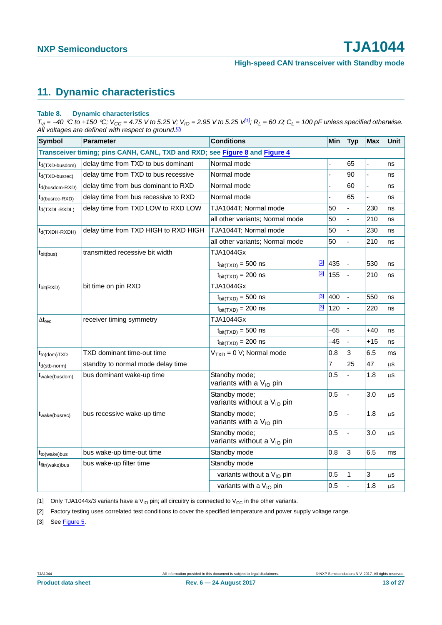# <span id="page-12-4"></span>**11. Dynamic characteristics**

#### <span id="page-12-3"></span>**Table 8. Dynamic characteristics**

 $T_{Vj}$  = -40 °C to +150 °C;  $V_{CC}$  = 4.75 V to 5.25 V;  $V_{IO}$  = 2.95 V to 5.25 V<sup>[1]</sup>;  $R_L$  = 60  $\Omega$ ;  $C_L$  = 100 pF unless specified otherwise. *All voltages are defined with respect to ground.[\[2\]](#page-12-0)*

| <b>Symbol</b>                                | <b>Parameter</b>                                                            | <b>Conditions</b>                                       | Min            | <b>Typ</b> | <b>Max</b> | Unit    |
|----------------------------------------------|-----------------------------------------------------------------------------|---------------------------------------------------------|----------------|------------|------------|---------|
|                                              | Transceiver timing; pins CANH, CANL, TXD and RXD; see Figure 8 and Figure 4 |                                                         |                |            |            |         |
| t <sub>d</sub> (TXD-busdom)                  | delay time from TXD to bus dominant                                         | Normal mode                                             |                | 65         |            | ns      |
| $t_{d(TXD-busrec)}$                          | delay time from TXD to bus recessive                                        | Normal mode                                             |                | 90         |            | ns      |
| $t_{d(busdom-RXD)}$                          | delay time from bus dominant to RXD                                         | Normal mode                                             |                | 60         |            | ns      |
| $t_{d(busrec-RXD)}$                          | delay time from bus recessive to RXD                                        | Normal mode                                             | $\overline{a}$ | 65         |            | ns      |
| $t_{d(TXDL-RXDL)}$                           | delay time from TXD LOW to RXD LOW                                          | TJA1044T; Normal mode                                   | 50             |            | 230        | ns      |
|                                              |                                                                             | all other variants; Normal mode                         | 50             |            | 210        | ns      |
| $t_{d(TXDH-RXDH)}$                           | delay time from TXD HIGH to RXD HIGH                                        | TJA1044T; Normal mode                                   | 50             |            | 230        | ns      |
|                                              |                                                                             | all other variants; Normal mode                         | 50             |            | 210        | ns      |
| $t_{\text{bit(bus)}}$                        | transmitted recessive bit width                                             | TJA1044Gx                                               |                |            |            |         |
|                                              |                                                                             | $^{[3]}$<br>$t_{\text{bit(TXD)}} = 500$ ns              | 435            |            | 530        | ns      |
|                                              |                                                                             | $[3]$<br>$t_{\text{bit(TXD)}} = 200$ ns                 | 155            |            | 210        | ns      |
| $t_{\text{bit(RXD)}}$                        | bit time on pin RXD                                                         | <b>TJA1044Gx</b>                                        |                |            |            |         |
|                                              |                                                                             | $^{[3]}$<br>$t_{\text{bit(TXD)}} = 500$ ns              | 400            |            | 550        | ns      |
|                                              |                                                                             | $^{[3]}$<br>$t_{\text{bit(TXD)}} = 200$ ns              | 120            |            | 220        | ns      |
| $\Delta t_{rec}$                             | receiver timing symmetry                                                    | TJA1044Gx                                               |                |            |            |         |
|                                              |                                                                             | $t_{\text{bit(TXD)}} = 500$ ns                          | -65            |            | $+40$      | ns      |
|                                              |                                                                             | $t_{\text{bit(TXD)}} = 200$ ns                          | -45            |            | $+15$      | ns      |
| $t_{\text{to}(\text{dom})\text{T}X\text{D}}$ | TXD dominant time-out time                                                  | $VTXD = 0 V; Normal mode$                               | 0.8            | 3          | 6.5        | ms      |
| $t_{d(\text{stb-norm})}$                     | standby to normal mode delay time                                           |                                                         | 7              | 25         | 47         | μS      |
| t <sub>wake</sub> (busdom)                   | bus dominant wake-up time                                                   | Standby mode;<br>variants with a V <sub>IO</sub> pin    | 0.5            |            | 1.8        | $\mu$ S |
|                                              |                                                                             | Standby mode;<br>variants without a V <sub>IO</sub> pin | 0.5            |            | 3.0        | $\mu$ S |
| t <sub>wake</sub> (busrec)                   | bus recessive wake-up time                                                  | Standby mode;<br>variants with a V <sub>IO</sub> pin    | 0.5            |            | 1.8        | $\mu$ s |
|                                              |                                                                             | Standby mode;<br>variants without a V <sub>IO</sub> pin | 0.5            |            | 3.0        | μS      |
| t <sub>to</sub> (wake)bus                    | bus wake-up time-out time                                                   | Standby mode                                            | 0.8            | 3          | 6.5        | ms      |
| t <sub>fltr</sub> (wake)bus                  | bus wake-up filter time                                                     | Standby mode                                            |                |            |            |         |
|                                              |                                                                             | variants without a V <sub>IO</sub> pin                  | 0.5            | 1          | 3          | μS      |
|                                              |                                                                             | variants with a V <sub>IO</sub> pin                     | 0.5            |            | 1.8        | $\mu$ s |

<span id="page-12-1"></span>[1] Only TJA1044x/3 variants have a V<sub>IO</sub> pin; all circuitry is connected to V<sub>CC</sub> in the other variants.

<span id="page-12-0"></span>[2] Factory testing uses correlated test conditions to cover the specified temperature and power supply voltage range.

<span id="page-12-2"></span>[3] See [Figure 5.](#page-13-1)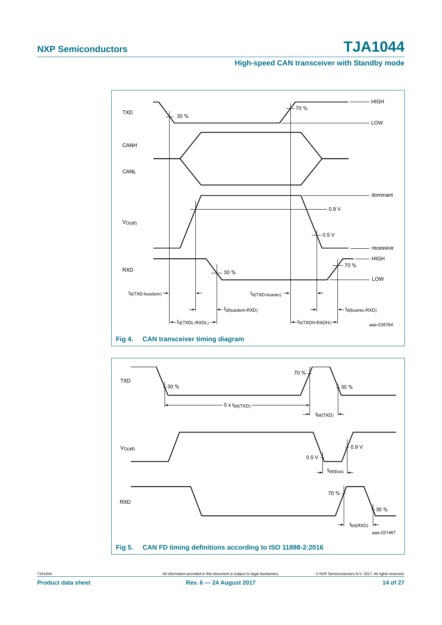#### **High-speed CAN transceiver with Standby mode**



<span id="page-13-0"></span>

<span id="page-13-1"></span>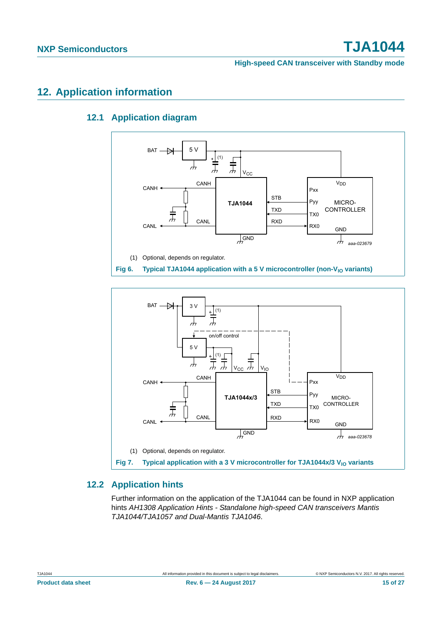# <span id="page-14-4"></span><span id="page-14-3"></span>**12. Application information**

## **12.1 Application diagram**



<span id="page-14-1"></span>

## <span id="page-14-2"></span><span id="page-14-0"></span>**12.2 Application hints**

Further information on the application of the TJA1044 can be found in NXP application hints *AH1308 Application Hints - Standalone high-speed CAN transceivers Mantis TJA1044/TJA1057 and Dual-Mantis TJA1046*.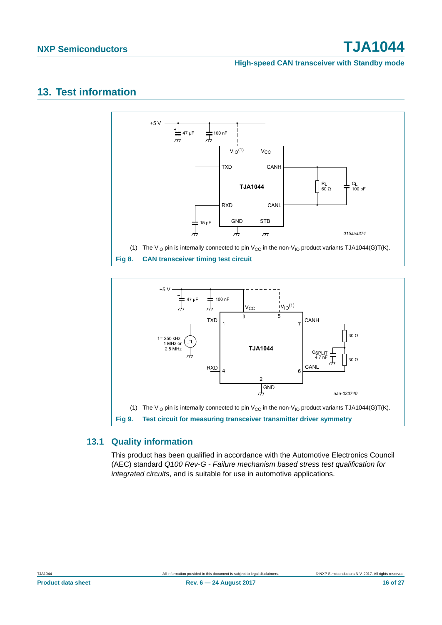#### **High-speed CAN transceiver with Standby mode**

## <span id="page-15-2"></span>**13. Test information**



<span id="page-15-1"></span>

## <span id="page-15-3"></span><span id="page-15-0"></span>**13.1 Quality information**

This product has been qualified in accordance with the Automotive Electronics Council (AEC) standard *Q100 Rev-G - Failure mechanism based stress test qualification for integrated circuits*, and is suitable for use in automotive applications.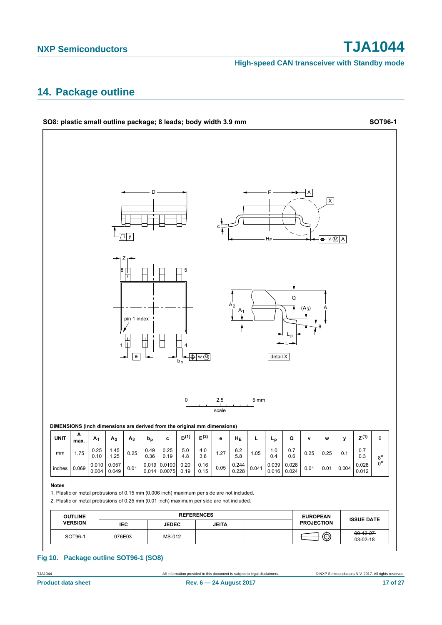**High-speed CAN transceiver with Standby mode**

## <span id="page-16-0"></span>**14. Package outline**

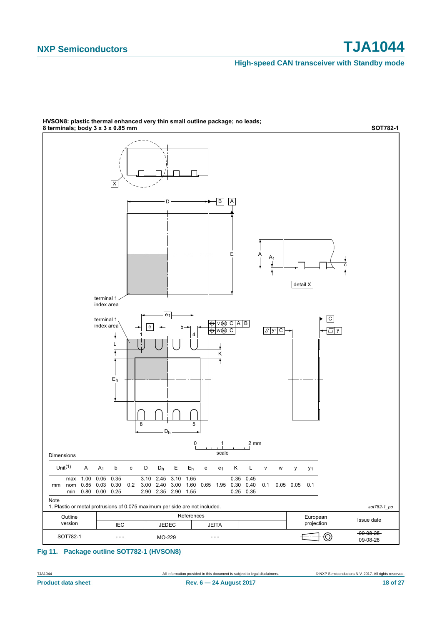#### **High-speed CAN transceiver with Standby mode**



**HVSON8: plastic thermal enhanced very thin small outline package; no leads;** 

#### **Fig 11. Package outline SOT782-1 (HVSON8)**

TJA1044 All information provided in this document is subject to legal disclaimers. © NXP Semiconductors N.V. 2017. All rights reserved.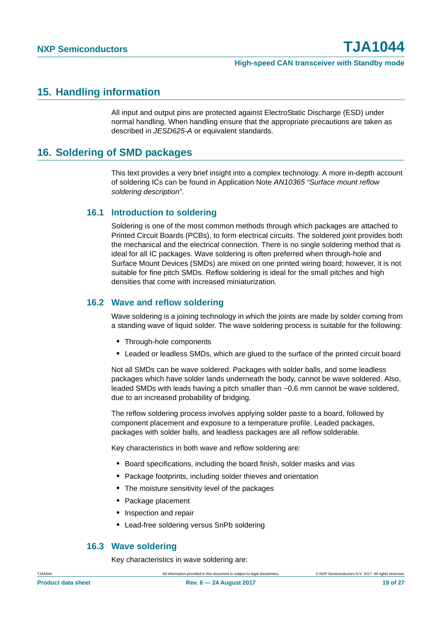## <span id="page-18-0"></span>**15. Handling information**

All input and output pins are protected against ElectroStatic Discharge (ESD) under normal handling. When handling ensure that the appropriate precautions are taken as described in *JESD625-A* or equivalent standards.

## <span id="page-18-1"></span>**16. Soldering of SMD packages**

This text provides a very brief insight into a complex technology. A more in-depth account of soldering ICs can be found in Application Note *AN10365 "Surface mount reflow soldering description"*.

### <span id="page-18-2"></span>**16.1 Introduction to soldering**

Soldering is one of the most common methods through which packages are attached to Printed Circuit Boards (PCBs), to form electrical circuits. The soldered joint provides both the mechanical and the electrical connection. There is no single soldering method that is ideal for all IC packages. Wave soldering is often preferred when through-hole and Surface Mount Devices (SMDs) are mixed on one printed wiring board; however, it is not suitable for fine pitch SMDs. Reflow soldering is ideal for the small pitches and high densities that come with increased miniaturization.

### <span id="page-18-3"></span>**16.2 Wave and reflow soldering**

Wave soldering is a joining technology in which the joints are made by solder coming from a standing wave of liquid solder. The wave soldering process is suitable for the following:

- **•** Through-hole components
- **•** Leaded or leadless SMDs, which are glued to the surface of the printed circuit board

Not all SMDs can be wave soldered. Packages with solder balls, and some leadless packages which have solder lands underneath the body, cannot be wave soldered. Also, leaded SMDs with leads having a pitch smaller than ~0.6 mm cannot be wave soldered, due to an increased probability of bridging.

The reflow soldering process involves applying solder paste to a board, followed by component placement and exposure to a temperature profile. Leaded packages, packages with solder balls, and leadless packages are all reflow solderable.

Key characteristics in both wave and reflow soldering are:

- **•** Board specifications, including the board finish, solder masks and vias
- **•** Package footprints, including solder thieves and orientation
- **•** The moisture sensitivity level of the packages
- **•** Package placement
- **•** Inspection and repair
- **•** Lead-free soldering versus SnPb soldering

### <span id="page-18-4"></span>**16.3 Wave soldering**

Key characteristics in wave soldering are: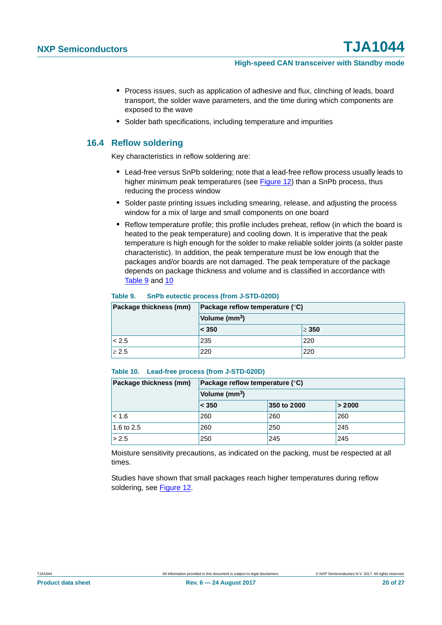- **•** Process issues, such as application of adhesive and flux, clinching of leads, board transport, the solder wave parameters, and the time during which components are exposed to the wave
- **•** Solder bath specifications, including temperature and impurities

### <span id="page-19-2"></span>**16.4 Reflow soldering**

Key characteristics in reflow soldering are:

- **•** Lead-free versus SnPb soldering; note that a lead-free reflow process usually leads to higher minimum peak temperatures (see [Figure 12\)](#page-20-0) than a SnPb process, thus reducing the process window
- **•** Solder paste printing issues including smearing, release, and adjusting the process window for a mix of large and small components on one board
- **•** Reflow temperature profile; this profile includes preheat, reflow (in which the board is heated to the peak temperature) and cooling down. It is imperative that the peak temperature is high enough for the solder to make reliable solder joints (a solder paste characteristic). In addition, the peak temperature must be low enough that the packages and/or boards are not damaged. The peak temperature of the package depends on package thickness and volume and is classified in accordance with [Table 9](#page-19-0) and [10](#page-19-1)

#### <span id="page-19-0"></span>**Table 9. SnPb eutectic process (from J-STD-020D)**

| Package thickness (mm) | Package reflow temperature $(^\circ \text{C})$<br>Volume (mm <sup>3</sup> ) |            |  |
|------------------------|-----------------------------------------------------------------------------|------------|--|
|                        |                                                                             |            |  |
|                        | $\leq 350$                                                                  | $\geq 350$ |  |
| < 2.5                  | 235                                                                         | 220        |  |
| $\geq 2.5$             | 220                                                                         | 220        |  |

#### <span id="page-19-1"></span>**Table 10. Lead-free process (from J-STD-020D)**

| Package thickness (mm) | Package reflow temperature $(^\circ \mathsf{C})$ |             |        |
|------------------------|--------------------------------------------------|-------------|--------|
|                        | Volume (mm <sup>3</sup> )                        |             |        |
|                        | < 350                                            | 350 to 2000 | > 2000 |
| < 1.6                  | 260                                              | 260         | 260    |
| 1.6 to 2.5             | 260                                              | 250         | 245    |
| > 2.5                  | 250                                              | 245         | 245    |

Moisture sensitivity precautions, as indicated on the packing, must be respected at all times.

Studies have shown that small packages reach higher temperatures during reflow soldering, see [Figure 12](#page-20-0).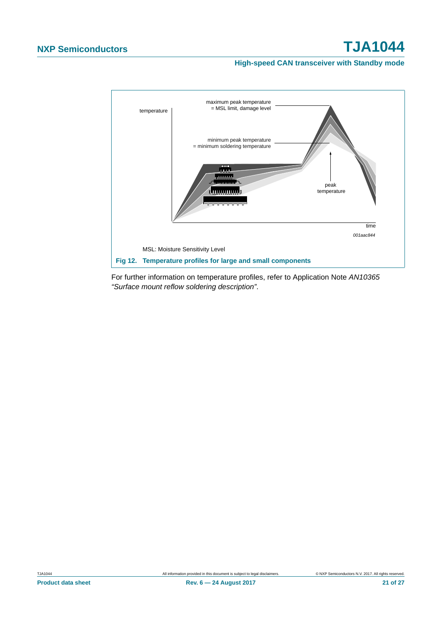#### **High-speed CAN transceiver with Standby mode**



<span id="page-20-0"></span>For further information on temperature profiles, refer to Application Note *AN10365 "Surface mount reflow soldering description"*.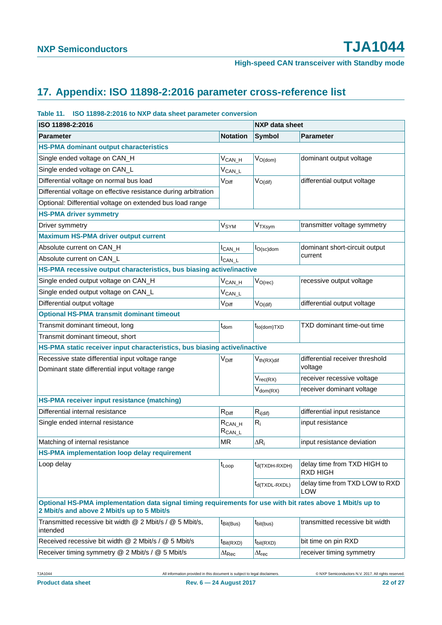# <span id="page-21-0"></span>**17. Appendix: ISO 11898-2:2016 parameter cross-reference list**

#### **Table 11. ISO 11898-2:2016 to NXP data sheet parameter conversion**

| ISO 11898-2:2016                                                                                                                                         |                             | <b>NXP</b> data sheet |                                                |
|----------------------------------------------------------------------------------------------------------------------------------------------------------|-----------------------------|-----------------------|------------------------------------------------|
| <b>Parameter</b>                                                                                                                                         | <b>Notation</b>             | <b>Symbol</b>         | <b>Parameter</b>                               |
| <b>HS-PMA dominant output characteristics</b>                                                                                                            |                             |                       |                                                |
| Single ended voltage on CAN_H                                                                                                                            | $V_{CAN_H}$                 | $V_{O(dom)}$          | dominant output voltage                        |
| Single ended voltage on CAN_L                                                                                                                            | $V_{CAN\_L}$                |                       |                                                |
| Differential voltage on normal bus load                                                                                                                  | V <sub>Diff</sub>           | $V_{O(dif)}$          | differential output voltage                    |
| Differential voltage on effective resistance during arbitration                                                                                          |                             |                       |                                                |
| Optional: Differential voltage on extended bus load range                                                                                                |                             |                       |                                                |
| <b>HS-PMA driver symmetry</b>                                                                                                                            |                             |                       |                                                |
| Driver symmetry                                                                                                                                          | V <sub>SYM</sub>            | VTXsym                | transmitter voltage symmetry                   |
| <b>Maximum HS-PMA driver output current</b>                                                                                                              |                             |                       |                                                |
| Absolute current on CAN_H                                                                                                                                | $I_{CAN_H}$                 | $I_{O(\text{sc})$ dom | dominant short-circuit output                  |
| Absolute current on CAN_L                                                                                                                                | $I_{CAN\_L}$                |                       | current                                        |
| HS-PMA recessive output characteristics, bus biasing active/inactive                                                                                     |                             |                       |                                                |
| Single ended output voltage on CAN_H                                                                                                                     | $V_{CAN_H}$                 | $V_{O(rec)}$          | recessive output voltage                       |
| Single ended output voltage on CAN_L                                                                                                                     | $V_{CAN\_L}$                |                       |                                                |
| Differential output voltage                                                                                                                              | V <sub>Diff</sub>           | $V_{O(dif)}$          | differential output voltage                    |
| <b>Optional HS-PMA transmit dominant timeout</b>                                                                                                         |                             |                       |                                                |
| Transmit dominant timeout, long                                                                                                                          | $t_{\text{dom}}$            | $t_{to (dom)TXD}$     | TXD dominant time-out time                     |
| Transmit dominant timeout, short                                                                                                                         |                             |                       |                                                |
| HS-PMA static receiver input characteristics, bus biasing active/inactive                                                                                |                             |                       |                                                |
| Recessive state differential input voltage range                                                                                                         | V <sub>Diff</sub>           | $V_{th(RX)$ dif       | differential receiver threshold                |
| Dominant state differential input voltage range                                                                                                          |                             |                       | voltage                                        |
|                                                                                                                                                          |                             | $V_{rec(RX)}$         | receiver recessive voltage                     |
|                                                                                                                                                          |                             | $V_{dom(RX)}$         | receiver dominant voltage                      |
| HS-PMA receiver input resistance (matching)                                                                                                              |                             |                       |                                                |
| Differential internal resistance                                                                                                                         | $R_{Diff}$                  | $R_{i\text{(dif)}}$   | differential input resistance                  |
| Single ended internal resistance                                                                                                                         | $R_{CAN_H}$<br>$R_{CAN\_L}$ | $R_i$                 | input resistance                               |
| Matching of internal resistance                                                                                                                          | <b>MR</b>                   | $\Delta R_i$          | input resistance deviation                     |
| <b>HS-PMA</b> implementation loop delay requirement                                                                                                      |                             |                       |                                                |
| Loop delay                                                                                                                                               | $t_{\text{Loop}}$           | $t_{d(TXDH-RXDH)}$    | delay time from TXD HIGH to<br><b>RXD HIGH</b> |
|                                                                                                                                                          |                             | $t_{d(TXDL-RXDL)}$    | delay time from TXD LOW to RXD<br>LOW          |
| Optional HS-PMA implementation data signal timing requirements for use with bit rates above 1 Mbit/s up to<br>2 Mbit/s and above 2 Mbit/s up to 5 Mbit/s |                             |                       |                                                |
| Transmitted recessive bit width @ 2 Mbit/s / @ 5 Mbit/s,<br>intended                                                                                     | t <sub>Bit(Bus)</sub>       | $t_{\text{bit(bus)}}$ | transmitted recessive bit width                |
| Received recessive bit width @ 2 Mbit/s / @ 5 Mbit/s                                                                                                     | $t_{\text{Bit(RXD)}}$       | $t_{\text{bit(RXD)}}$ | bit time on pin RXD                            |
| Receiver timing symmetry @ 2 Mbit/s / @ 5 Mbit/s                                                                                                         | $\Delta t_{\mathsf{Rec}}$   | $\Delta t_{rec}$      | receiver timing symmetry                       |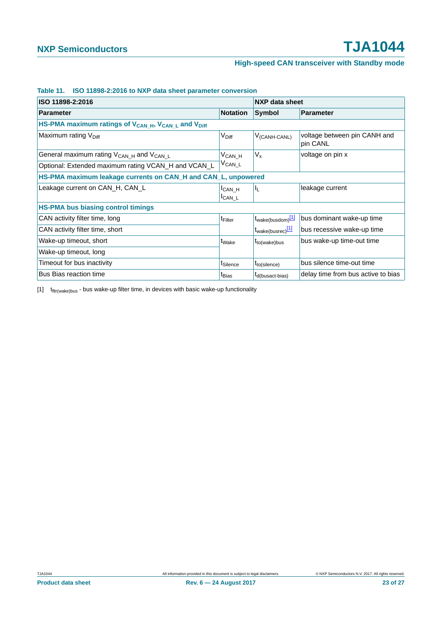| ISO 11898-2:2016                                                                        |                           | NXP data sheet                |                                          |
|-----------------------------------------------------------------------------------------|---------------------------|-------------------------------|------------------------------------------|
| <b>Parameter</b>                                                                        | <b>Notation</b>           | Symbol                        | <b>Parameter</b>                         |
| HS-PMA maximum ratings of V <sub>CAN_H</sub> , V <sub>CAN_L</sub> and V <sub>Diff</sub> |                           |                               |                                          |
| Maximum rating V <sub>Diff</sub>                                                        | V <sub>Diff</sub>         | V <sub>(CANH-CANL)</sub>      | voltage between pin CANH and<br>pin CANL |
| General maximum rating V <sub>CAN_H</sub> and V <sub>CAN_L</sub>                        | $V_{CAN_H}$               | $V_{x}$                       | voltage on pin x                         |
| Optional: Extended maximum rating VCAN_H and VCAN_L                                     | $V_{CAN\_L}$              |                               |                                          |
| HS-PMA maximum leakage currents on CAN_H and CAN_L, unpowered                           |                           |                               |                                          |
| Leakage current on CAN_H, CAN_L                                                         | $ICAN_H$<br><b>ICAN L</b> | 址                             | leakage current                          |
| <b>HS-PMA bus biasing control timings</b>                                               |                           |                               |                                          |
| CAN activity filter time, long                                                          | <sup>t</sup> Filter       | t <sub>wake(busdom)</sub> [1] | bus dominant wake-up time                |
| CAN activity filter time, short                                                         |                           | t <sub>wake(busrec)</sub> [1] | bus recessive wake-up time               |
| Wake-up timeout, short                                                                  | t <sub>Wake</sub>         | $t_{to(wake)bus}$             | bus wake-up time-out time                |
| Wake-up timeout, long                                                                   |                           |                               |                                          |
| Timeout for bus inactivity                                                              | t <sub>Silence</sub>      | $t_{to(silence)}$             | bus silence time-out time                |
| <b>Bus Bias reaction time</b>                                                           | t <sub>Bias</sub>         | $t_{d(busact-bias)}$          | delay time from bus active to bias       |

#### **Table 11. ISO 11898-2:2016 to NXP data sheet parameter conversion**

<span id="page-22-0"></span> $[1]$   $t$ <sub>fltr(wake)bus</sub> - bus wake-up filter time, in devices with basic wake-up functionality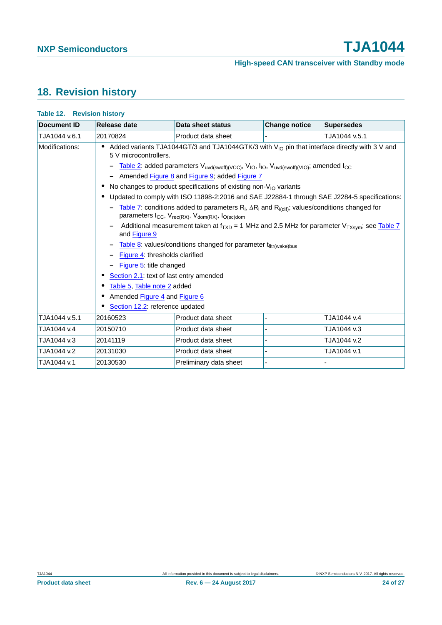# <span id="page-23-0"></span>**18. Revision history**

| Document ID    | Release date                                                                                                                                                                                                                                     | Data sheet status                                                                                                                                                                                                                                                                                                                                                                                                                                                                                                                                                                                                                                                                                                                                                                                                                                                    | <b>Change notice</b> | <b>Supersedes</b> |
|----------------|--------------------------------------------------------------------------------------------------------------------------------------------------------------------------------------------------------------------------------------------------|----------------------------------------------------------------------------------------------------------------------------------------------------------------------------------------------------------------------------------------------------------------------------------------------------------------------------------------------------------------------------------------------------------------------------------------------------------------------------------------------------------------------------------------------------------------------------------------------------------------------------------------------------------------------------------------------------------------------------------------------------------------------------------------------------------------------------------------------------------------------|----------------------|-------------------|
| TJA1044 v.6.1  | 20170824                                                                                                                                                                                                                                         | Product data sheet                                                                                                                                                                                                                                                                                                                                                                                                                                                                                                                                                                                                                                                                                                                                                                                                                                                   |                      | TJA1044 v.5.1     |
| Modifications: | 5 V microcontrollers.<br>and Figure 9<br>Figure 4: thresholds clarified<br>Figure 5: title changed<br>Section 2.1: text of last entry amended<br>Table 5, Table note 2 added<br>Amended Figure 4 and Figure 6<br>Section 12.2: reference updated | Added variants TJA1044GT/3 and TJA1044GTK/3 with $V_{1O}$ pin that interface directly with 3 V and<br>Table 2: added parameters V <sub>uvd(swoff)(VCC)</sub> , V <sub>IO</sub> , I <sub>IO</sub> , V <sub>uvd(swoff)(VIO)</sub> ; amended I <sub>CC</sub><br>Amended Figure 8 and Figure 9; added Figure 7<br>No changes to product specifications of existing non- $V_{1O}$ variants<br>Updated to comply with ISO 11898-2:2016 and SAE J22884-1 through SAE J2284-5 specifications:<br>Table 7: conditions added to parameters $R_i$ , $\Delta R_i$ and $R_i$ <sub>(dif)</sub> ; values/conditions changed for<br>parameters $I_{CC}$ , $V_{rec(RX)}$ , $V_{dom(RX)}$ , $I_{O(SC)dom}$<br>Additional measurement taken at $f_{TXD}$ = 1 MHz and 2.5 MHz for parameter $V_{TXsym}$ ; see Table 7<br>Table 8: values/conditions changed for parameter tfltr(wake)bus |                      |                   |
| TJA1044 v.5.1  | 20160523                                                                                                                                                                                                                                         | Product data sheet                                                                                                                                                                                                                                                                                                                                                                                                                                                                                                                                                                                                                                                                                                                                                                                                                                                   |                      | TJA1044 v.4       |
| TJA1044 v.4    | 20150710                                                                                                                                                                                                                                         | Product data sheet                                                                                                                                                                                                                                                                                                                                                                                                                                                                                                                                                                                                                                                                                                                                                                                                                                                   |                      | TJA1044 v.3       |
| TJA1044 v.3    | 20141119                                                                                                                                                                                                                                         | Product data sheet                                                                                                                                                                                                                                                                                                                                                                                                                                                                                                                                                                                                                                                                                                                                                                                                                                                   |                      | TJA1044 v.2       |
| TJA1044 v.2    | 20131030                                                                                                                                                                                                                                         | Product data sheet                                                                                                                                                                                                                                                                                                                                                                                                                                                                                                                                                                                                                                                                                                                                                                                                                                                   |                      | TJA1044 v.1       |
| TJA1044 v.1    | 20130530                                                                                                                                                                                                                                         | Preliminary data sheet                                                                                                                                                                                                                                                                                                                                                                                                                                                                                                                                                                                                                                                                                                                                                                                                                                               |                      |                   |

# **Table 12. Revision history**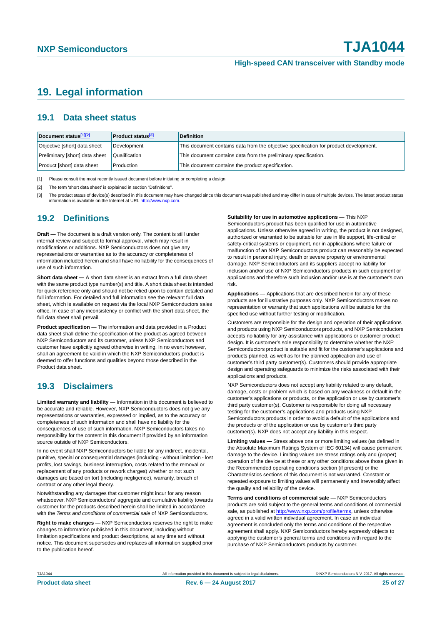# <span id="page-24-3"></span>**19. Legal information**

### <span id="page-24-4"></span>**19.1 Data sheet status**

| Document status[1][2]          | <b>Product status</b> <sup>[3]</sup> | <b>Definition</b>                                                                     |
|--------------------------------|--------------------------------------|---------------------------------------------------------------------------------------|
| Objective [short] data sheet   | Development                          | This document contains data from the objective specification for product development. |
| Preliminary [short] data sheet | Qualification                        | This document contains data from the preliminary specification.                       |
| Product [short] data sheet     | Production                           | This document contains the product specification.                                     |

<span id="page-24-0"></span>[1] Please consult the most recently issued document before initiating or completing a design.

<span id="page-24-1"></span>[2] The term 'short data sheet' is explained in section "Definitions".

<span id="page-24-2"></span>[3] The product status of device(s) described in this document may have changed since this document was published and may differ in case of multiple devices. The latest product status<br>information is available on the Intern

### <span id="page-24-5"></span>**19.2 Definitions**

**Draft —** The document is a draft version only. The content is still under internal review and subject to formal approval, which may result in modifications or additions. NXP Semiconductors does not give any representations or warranties as to the accuracy or completeness of information included herein and shall have no liability for the consequences of use of such information.

**Short data sheet —** A short data sheet is an extract from a full data sheet with the same product type number(s) and title. A short data sheet is intended for quick reference only and should not be relied upon to contain detailed and full information. For detailed and full information see the relevant full data sheet, which is available on request via the local NXP Semiconductors sales office. In case of any inconsistency or conflict with the short data sheet, the full data sheet shall prevail.

**Product specification —** The information and data provided in a Product data sheet shall define the specification of the product as agreed between NXP Semiconductors and its customer, unless NXP Semiconductors and customer have explicitly agreed otherwise in writing. In no event however, shall an agreement be valid in which the NXP Semiconductors product is deemed to offer functions and qualities beyond those described in the Product data sheet.

## <span id="page-24-6"></span>**19.3 Disclaimers**

**Limited warranty and liability —** Information in this document is believed to be accurate and reliable. However, NXP Semiconductors does not give any representations or warranties, expressed or implied, as to the accuracy or completeness of such information and shall have no liability for the consequences of use of such information. NXP Semiconductors takes no responsibility for the content in this document if provided by an information source outside of NXP Semiconductors.

In no event shall NXP Semiconductors be liable for any indirect, incidental, punitive, special or consequential damages (including - without limitation - lost profits, lost savings, business interruption, costs related to the removal or replacement of any products or rework charges) whether or not such damages are based on tort (including negligence), warranty, breach of contract or any other legal theory.

Notwithstanding any damages that customer might incur for any reason whatsoever, NXP Semiconductors' aggregate and cumulative liability towards customer for the products described herein shall be limited in accordance with the *Terms and conditions of commercial sale* of NXP Semiconductors.

**Right to make changes —** NXP Semiconductors reserves the right to make changes to information published in this document, including without limitation specifications and product descriptions, at any time and without notice. This document supersedes and replaces all information supplied prior to the publication hereof.

#### **Suitability for use in automotive applications —** This NXP

Semiconductors product has been qualified for use in automotive applications. Unless otherwise agreed in writing, the product is not designed, authorized or warranted to be suitable for use in life support, life-critical or safety-critical systems or equipment, nor in applications where failure or malfunction of an NXP Semiconductors product can reasonably be expected to result in personal injury, death or severe property or environmental damage. NXP Semiconductors and its suppliers accept no liability for inclusion and/or use of NXP Semiconductors products in such equipment or applications and therefore such inclusion and/or use is at the customer's own risk.

**Applications —** Applications that are described herein for any of these products are for illustrative purposes only. NXP Semiconductors makes no representation or warranty that such applications will be suitable for the specified use without further testing or modification.

Customers are responsible for the design and operation of their applications and products using NXP Semiconductors products, and NXP Semiconductors accepts no liability for any assistance with applications or customer product design. It is customer's sole responsibility to determine whether the NXP Semiconductors product is suitable and fit for the customer's applications and products planned, as well as for the planned application and use of customer's third party customer(s). Customers should provide appropriate design and operating safeguards to minimize the risks associated with their applications and products.

NXP Semiconductors does not accept any liability related to any default, damage, costs or problem which is based on any weakness or default in the customer's applications or products, or the application or use by customer's third party customer(s). Customer is responsible for doing all necessary testing for the customer's applications and products using NXP Semiconductors products in order to avoid a default of the applications and the products or of the application or use by customer's third party customer(s). NXP does not accept any liability in this respect.

**Limiting values —** Stress above one or more limiting values (as defined in the Absolute Maximum Ratings System of IEC 60134) will cause permanent damage to the device. Limiting values are stress ratings only and (proper) operation of the device at these or any other conditions above those given in the Recommended operating conditions section (if present) or the Characteristics sections of this document is not warranted. Constant or repeated exposure to limiting values will permanently and irreversibly affect the quality and reliability of the device.

**Terms and conditions of commercial sale —** NXP Semiconductors products are sold subject to the general terms and conditions of commercial sale, as published at<http://www.nxp.com/profile/terms>, unless otherwise agreed in a valid written individual agreement. In case an individual agreement is concluded only the terms and conditions of the respective agreement shall apply. NXP Semiconductors hereby expressly objects to applying the customer's general terms and conditions with regard to the purchase of NXP Semiconductors products by customer.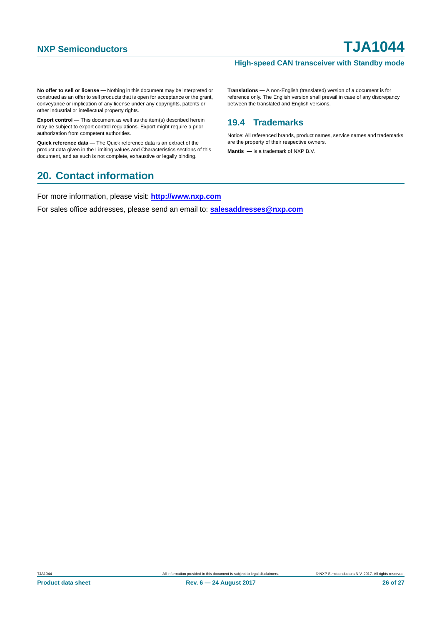#### **High-speed CAN transceiver with Standby mode**

**No offer to sell or license —** Nothing in this document may be interpreted or construed as an offer to sell products that is open for acceptance or the grant, conveyance or implication of any license under any copyrights, patents or other industrial or intellectual property rights.

**Export control —** This document as well as the item(s) described herein may be subject to export control regulations. Export might require a prior authorization from competent authorities.

**Quick reference data —** The Quick reference data is an extract of the product data given in the Limiting values and Characteristics sections of this document, and as such is not complete, exhaustive or legally binding.

## <span id="page-25-1"></span>**20. Contact information**

For more information, please visit: **http://www.nxp.com**

For sales office addresses, please send an email to: **salesaddresses@nxp.com**

**Translations —** A non-English (translated) version of a document is for reference only. The English version shall prevail in case of any discrepancy between the translated and English versions.

## <span id="page-25-0"></span>**19.4 Trademarks**

Notice: All referenced brands, product names, service names and trademarks are the property of their respective owners.

**Mantis —** is a trademark of NXP B.V.